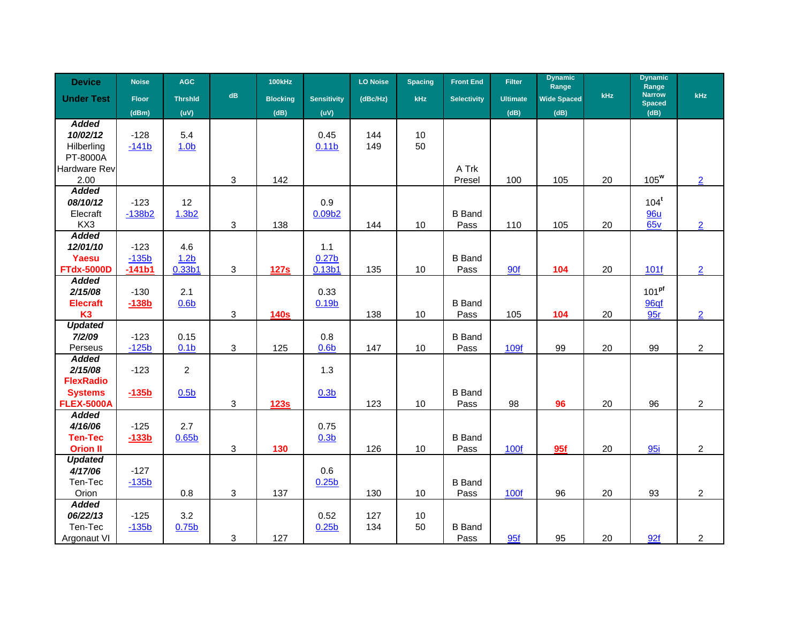| <b>Device</b>            | <b>Noise</b>      | <b>AGC</b>              |              | <b>100kHz</b>   |                            | <b>LO Noise</b> | <b>Spacing</b> | <b>Front End</b>   | <b>Filter</b>   | <b>Dynamic</b><br>Range |     | <b>Dynamic</b><br>Range |                |
|--------------------------|-------------------|-------------------------|--------------|-----------------|----------------------------|-----------------|----------------|--------------------|-----------------|-------------------------|-----|-------------------------|----------------|
| <b>Under Test</b>        | <b>Floor</b>      | <b>Thrshld</b>          | dB           | <b>Blocking</b> | <b>Sensitivity</b>         | (dBc/Hz)        | <b>kHz</b>     | <b>Selectivity</b> | <b>Ultimate</b> | <b>Wide Spaced</b>      | kHz | <b>Narrow</b>           | kHz            |
|                          | (dBm)             | (uV)                    |              | (dB)            | (uV)                       |                 |                |                    | (dB)            | (dB)                    |     | <b>Spaced</b><br>(dB)   |                |
| <b>Added</b>             |                   |                         |              |                 |                            |                 |                |                    |                 |                         |     |                         |                |
| 10/02/12                 | $-128$            | 5.4                     |              |                 | 0.45                       | 144             | 10             |                    |                 |                         |     |                         |                |
| Hilberling               | $-141b$           | 1.0 <sub>b</sub>        |              |                 | 0.11 <sub>b</sub>          | 149             | 50             |                    |                 |                         |     |                         |                |
| PT-8000A                 |                   |                         |              |                 |                            |                 |                |                    |                 |                         |     |                         |                |
| Hardware Rev             |                   |                         |              |                 |                            |                 |                | A Trk              |                 |                         |     |                         |                |
| 2.00                     |                   |                         | 3            | 142             |                            |                 |                | Presel             | 100             | 105                     | 20  | $105^{\mathrm{w}}$      | $\overline{2}$ |
| <b>Added</b>             |                   |                         |              |                 |                            |                 |                |                    |                 |                         |     |                         |                |
| 08/10/12                 | $-123$            | 12                      |              |                 | 0.9                        |                 |                |                    |                 |                         |     | 104 <sup>t</sup>        |                |
| Elecraft                 | $-138b2$          | 1.3 <sub>b2</sub>       |              |                 | 0.09 <sub>b2</sub>         |                 |                | <b>B</b> Band      |                 |                         |     | <b>96u</b>              |                |
| KX3                      |                   |                         | $\mathbf{3}$ | 138             |                            | 144             | 10             | Pass               | 110             | 105                     | 20  | 65v                     | $\overline{2}$ |
| <b>Added</b>             |                   |                         |              |                 |                            |                 |                |                    |                 |                         |     |                         |                |
| 12/01/10<br><b>Yaesu</b> | $-123$<br>$-135b$ | 4.6<br>1.2 <sub>b</sub> |              |                 | $1.1$<br>0.27 <sub>b</sub> |                 |                | <b>B</b> Band      |                 |                         |     |                         |                |
| <b>FTdx-5000D</b>        | $-141b1$          | 0.33b1                  | $\mathbf{3}$ | <b>127s</b>     | 0.13 <sub>b1</sub>         | 135             | 10             | Pass               | 90f             | 104                     | 20  | 101f                    |                |
| <b>Added</b>             |                   |                         |              |                 |                            |                 |                |                    |                 |                         |     |                         | $\overline{2}$ |
| 2/15/08                  | $-130$            | 2.1                     |              |                 | 0.33                       |                 |                |                    |                 |                         |     | 101 <sup>pf</sup>       |                |
| <b>Elecraft</b>          | $-138b$           | 0.6 <sub>b</sub>        |              |                 | 0.19 <sub>b</sub>          |                 |                | <b>B</b> Band      |                 |                         |     | 96qf                    |                |
| K <sub>3</sub>           |                   |                         | 3            | <b>140s</b>     |                            | 138             | 10             | Pass               | 105             | 104                     | 20  | 95r                     | $\overline{2}$ |
| <b>Updated</b>           |                   |                         |              |                 |                            |                 |                |                    |                 |                         |     |                         |                |
| 7/2/09                   | $-123$            | 0.15                    |              |                 | 0.8                        |                 |                | <b>B</b> Band      |                 |                         |     |                         |                |
| Perseus                  | $-125b$           | 0.1 <sub>b</sub>        | 3            | 125             | 0.6 <sub>b</sub>           | 147             | 10             | Pass               | 109f            | 99                      | 20  | 99                      | $\overline{2}$ |
| <b>Added</b>             |                   |                         |              |                 |                            |                 |                |                    |                 |                         |     |                         |                |
| 2/15/08                  | $-123$            | $\overline{2}$          |              |                 | 1.3                        |                 |                |                    |                 |                         |     |                         |                |
| <b>FlexRadio</b>         |                   |                         |              |                 |                            |                 |                |                    |                 |                         |     |                         |                |
| <b>Systems</b>           | $-135b$           | 0.5 <sub>b</sub>        |              |                 | 0.3 <sub>b</sub>           |                 |                | <b>B</b> Band      |                 |                         |     |                         |                |
| <b>FLEX-5000A</b>        |                   |                         | 3            | 123s            |                            | 123             | 10             | Pass               | 98              | 96                      | 20  | 96                      | $\overline{c}$ |
| <b>Added</b>             |                   |                         |              |                 |                            |                 |                |                    |                 |                         |     |                         |                |
| 4/16/06                  | $-125$            | 2.7                     |              |                 | 0.75                       |                 |                |                    |                 |                         |     |                         |                |
| <b>Ten-Tec</b>           | $-133b$           | 0.65 <sub>b</sub>       |              |                 | 0.3 <sub>b</sub>           |                 |                | <b>B</b> Band      |                 |                         |     |                         |                |
| <b>Orion II</b>          |                   |                         | 3            | 130             |                            | 126             | 10             | Pass               | <b>100f</b>     | 95f                     | 20  | 95i                     | $\overline{2}$ |
| <b>Updated</b>           |                   |                         |              |                 |                            |                 |                |                    |                 |                         |     |                         |                |
| 4/17/06                  | $-127$            |                         |              |                 | 0.6                        |                 |                |                    |                 |                         |     |                         |                |
| Ten-Tec                  | $-135b$           |                         |              |                 | 0.25 <sub>b</sub>          |                 |                | <b>B</b> Band      |                 |                         |     |                         |                |
| Orion<br><b>Added</b>    |                   | 0.8                     | $\mathbf{3}$ | 137             |                            | 130             | 10             | Pass               | <b>100f</b>     | 96                      | 20  | 93                      | $\overline{a}$ |
| 06/22/13                 | $-125$            | 3.2                     |              |                 | 0.52                       | 127             | 10             |                    |                 |                         |     |                         |                |
| Ten-Tec                  | $-135b$           | 0.75 <sub>b</sub>       |              |                 | 0.25 <sub>b</sub>          | 134             | 50             | <b>B</b> Band      |                 |                         |     |                         |                |
| Argonaut VI              |                   |                         | $\mathbf{3}$ | 127             |                            |                 |                | Pass               | 95f             | 95                      | 20  | 92f                     | $\overline{c}$ |
|                          |                   |                         |              |                 |                            |                 |                |                    |                 |                         |     |                         |                |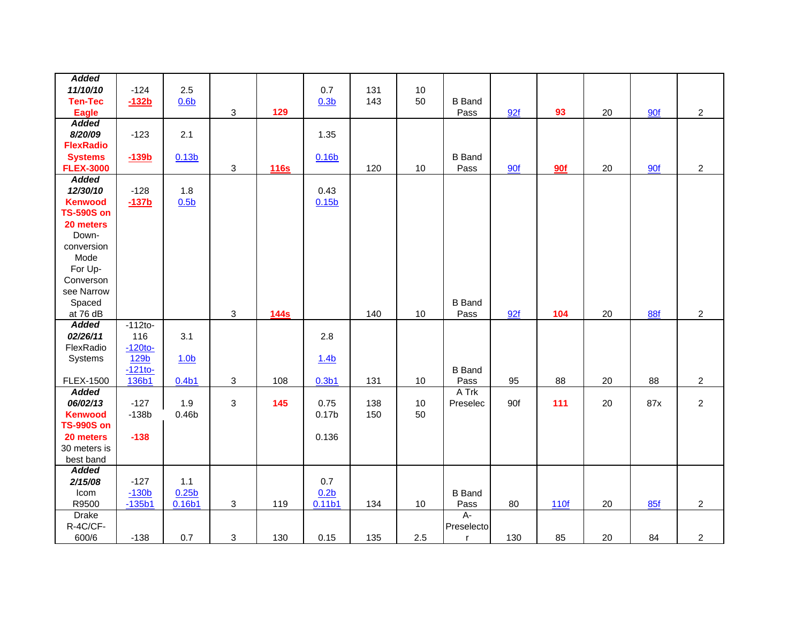| <b>Added</b><br>11/10/10<br><b>Ten-Tec</b> | $-124$<br>$-132b$ | 2.5<br>0.6 <sub>b</sub> |              |             | 0.7<br>0.3 <sub>b</sub> | 131<br>143 | 10<br>50 | <b>B</b> Band |     |            |    |            |                |
|--------------------------------------------|-------------------|-------------------------|--------------|-------------|-------------------------|------------|----------|---------------|-----|------------|----|------------|----------------|
| <b>Eagle</b>                               |                   |                         | 3            | 129         |                         |            |          | Pass          | 92f | 93         | 20 | 90f        | $\overline{a}$ |
| <b>Added</b><br>8/20/09                    | $-123$            | 2.1                     |              |             | 1.35                    |            |          |               |     |            |    |            |                |
| <b>FlexRadio</b>                           |                   |                         |              |             |                         |            |          |               |     |            |    |            |                |
| <b>Systems</b>                             | $-139b$           | 0.13 <sub>b</sub>       |              |             | 0.16 <sub>b</sub>       |            |          | <b>B</b> Band |     |            |    |            |                |
| <b>FLEX-3000</b>                           |                   |                         | $\mathbf{3}$ | <b>116s</b> |                         | 120        | 10       | Pass          | 90f | <b>90f</b> | 20 | 90f        | $\overline{2}$ |
| <b>Added</b>                               |                   |                         |              |             |                         |            |          |               |     |            |    |            |                |
| 12/30/10                                   | $-128$            | 1.8                     |              |             | 0.43                    |            |          |               |     |            |    |            |                |
| <b>Kenwood</b>                             | $-137b$           | 0.5 <sub>b</sub>        |              |             | 0.15 <sub>b</sub>       |            |          |               |     |            |    |            |                |
| <b>TS-590S on</b>                          |                   |                         |              |             |                         |            |          |               |     |            |    |            |                |
| 20 meters                                  |                   |                         |              |             |                         |            |          |               |     |            |    |            |                |
| Down-                                      |                   |                         |              |             |                         |            |          |               |     |            |    |            |                |
| conversion                                 |                   |                         |              |             |                         |            |          |               |     |            |    |            |                |
| Mode                                       |                   |                         |              |             |                         |            |          |               |     |            |    |            |                |
| For Up-                                    |                   |                         |              |             |                         |            |          |               |     |            |    |            |                |
| Converson                                  |                   |                         |              |             |                         |            |          |               |     |            |    |            |                |
| see Narrow                                 |                   |                         |              |             |                         |            |          |               |     |            |    |            |                |
| Spaced                                     |                   |                         |              |             |                         |            |          | <b>B</b> Band |     |            |    |            |                |
| at 76 dB                                   |                   |                         | 3            | <b>144s</b> |                         | 140        | 10       | Pass          | 92f | 104        | 20 | <b>88f</b> | $\overline{a}$ |
| <b>Added</b>                               | $-112$ to-        |                         |              |             |                         |            |          |               |     |            |    |            |                |
| 02/26/11                                   | 116               | 3.1                     |              |             | 2.8                     |            |          |               |     |            |    |            |                |
| FlexRadio                                  | $-120$ to-        |                         |              |             |                         |            |          |               |     |            |    |            |                |
| Systems                                    | 129b              | 1.0 <sub>b</sub>        |              |             | 1.4 <sub>b</sub>        |            |          |               |     |            |    |            |                |
|                                            | $-12110-$         |                         |              |             |                         |            |          | <b>B</b> Band |     |            |    |            |                |
| <b>FLEX-1500</b>                           | 136b1             | 0.4 <sub>b1</sub>       | 3            | 108         | 0.3 <sub>b1</sub>       | 131        | 10       | Pass          | 95  | 88         | 20 | 88         | $\overline{a}$ |
| <b>Added</b>                               |                   |                         |              |             |                         |            |          | A Trk         |     |            |    |            |                |
| 06/02/13                                   | $-127$            | 1.9                     | 3            | 145         | 0.75                    | 138        | 10       | Preselec      | 90f | 111        | 20 | 87x        | $\overline{a}$ |
| <b>Kenwood</b>                             | $-138b$           | 0.46 <sub>b</sub>       |              |             | 0.17 <sub>b</sub>       | 150        | 50       |               |     |            |    |            |                |
| <b>TS-990S on</b>                          |                   |                         |              |             |                         |            |          |               |     |            |    |            |                |
| 20 meters                                  | $-138$            |                         |              |             | 0.136                   |            |          |               |     |            |    |            |                |
| 30 meters is                               |                   |                         |              |             |                         |            |          |               |     |            |    |            |                |
| best band                                  |                   |                         |              |             |                         |            |          |               |     |            |    |            |                |
| <b>Added</b>                               |                   |                         |              |             |                         |            |          |               |     |            |    |            |                |
| 2/15/08                                    | $-127$            | 1.1                     |              |             | 0.7                     |            |          |               |     |            |    |            |                |
| Icom                                       | $-130b$           | 0.25 <sub>b</sub>       |              |             | 0.2 <sub>b</sub>        |            |          | <b>B</b> Band |     |            |    |            |                |
| R9500                                      | $-135b1$          | 0.16 <sub>b1</sub>      | 3            | 119         | 0.11 <sub>b1</sub>      | 134        | 10       | Pass          | 80  | 110f       | 20 | 85f        | $\overline{2}$ |
| <b>Drake</b>                               |                   |                         |              |             |                         |            |          | $A -$         |     |            |    |            |                |
| R-4C/CF-                                   |                   |                         |              |             |                         |            |          | Preselecto    |     |            |    |            |                |
| 600/6                                      | $-138$            | 0.7                     | 3            | 130         | 0.15                    | 135        | 2.5      | r             | 130 | 85         | 20 | 84         | $\overline{a}$ |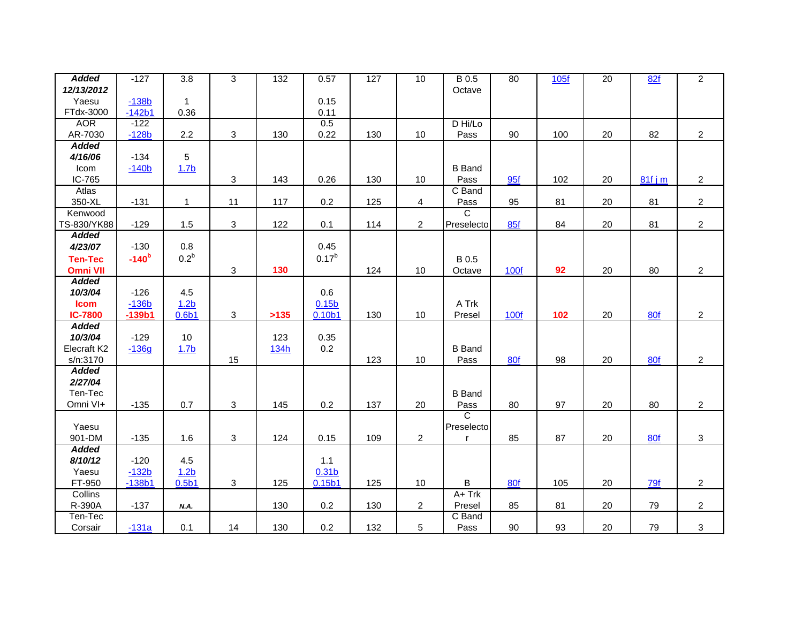| <b>Added</b>    | $-127$   | 3.8               | $\overline{3}$ | 132  | 0.57               | 127 | 10             | <b>B0.5</b>    | 80          | 105f | $\overline{20}$ | 82f        | $\overline{2}$ |
|-----------------|----------|-------------------|----------------|------|--------------------|-----|----------------|----------------|-------------|------|-----------------|------------|----------------|
| 12/13/2012      |          |                   |                |      |                    |     |                | Octave         |             |      |                 |            |                |
| Yaesu           | $-138b$  | $\mathbf{1}$      |                |      | 0.15               |     |                |                |             |      |                 |            |                |
| FTdx-3000       | $-142b1$ | 0.36              |                |      | 0.11               |     |                |                |             |      |                 |            |                |
| <b>AOR</b>      | $-122$   |                   |                |      | 0.5                |     |                | D Hi/Lo        |             |      |                 |            |                |
| AR-7030         | $-128b$  | 2.2               | 3              | 130  | 0.22               | 130 | 10             | Pass           | 90          | 100  | 20              | 82         | $\overline{a}$ |
| <b>Added</b>    |          |                   |                |      |                    |     |                |                |             |      |                 |            |                |
| 4/16/06         | $-134$   | 5                 |                |      |                    |     |                |                |             |      |                 |            |                |
| Icom            | $-140b$  | 1.7 <sub>b</sub>  |                |      |                    |     |                | <b>B</b> Band  |             |      |                 |            |                |
| IC-765          |          |                   | 3              | 143  | 0.26               | 130 | 10             | Pass           | 95f         | 102  | 20              | $81f$ j m  | $\overline{c}$ |
| Atlas           |          |                   |                |      |                    |     |                | C Band         |             |      |                 |            |                |
| 350-XL          | $-131$   | $\mathbf{1}$      | 11             | 117  | 0.2                | 125 | $\overline{4}$ | Pass           | 95          | 81   | 20              | 81         | $\overline{a}$ |
| Kenwood         |          |                   |                |      |                    |     |                | $\overline{C}$ |             |      |                 |            |                |
| TS-830/YK88     | $-129$   | 1.5               | $\mathbf{3}$   | 122  | 0.1                | 114 | $\overline{2}$ | Preselecto     | 85f         | 84   | 20              | 81         | $\overline{a}$ |
| <b>Added</b>    |          |                   |                |      |                    |     |                |                |             |      |                 |            |                |
| 4/23/07         | $-130$   | 0.8               |                |      | 0.45               |     |                |                |             |      |                 |            |                |
| <b>Ten-Tec</b>  | $-140b$  | 0.2 <sup>b</sup>  |                |      | $0.17^{b}$         |     |                | <b>B0.5</b>    |             |      |                 |            |                |
| <b>Omni VII</b> |          |                   | 3              | 130  |                    | 124 | 10             | Octave         | <b>100f</b> | 92   | 20              | 80         | $\overline{a}$ |
| <b>Added</b>    |          |                   |                |      |                    |     |                |                |             |      |                 |            |                |
| 10/3/04         | $-126$   | 4.5               |                |      | 0.6                |     |                |                |             |      |                 |            |                |
| <b>Icom</b>     | $-136b$  | 1.2 <sub>b</sub>  |                |      | 0.15 <sub>b</sub>  |     |                | A Trk          |             |      |                 |            |                |
| <b>IC-7800</b>  | $-139b1$ | 0.6 <sub>b1</sub> | 3              | >135 | 0.10 <sub>b1</sub> | 130 | 10             | Presel         | <b>100f</b> | 102  | 20              | 80f        | $\overline{a}$ |
| <b>Added</b>    |          |                   |                |      |                    |     |                |                |             |      |                 |            |                |
| 10/3/04         | $-129$   | 10                |                | 123  | 0.35               |     |                |                |             |      |                 |            |                |
| Elecraft K2     | $-136g$  | 1.7 <sub>b</sub>  |                | 134h | 0.2                |     |                | <b>B</b> Band  |             |      |                 |            |                |
| s/n:3170        |          |                   | 15             |      |                    | 123 | 10             | Pass           | 80f         | 98   | 20              | 80f        | $\overline{2}$ |
| <b>Added</b>    |          |                   |                |      |                    |     |                |                |             |      |                 |            |                |
| 2/27/04         |          |                   |                |      |                    |     |                |                |             |      |                 |            |                |
| Ten-Tec         |          |                   |                |      |                    |     |                | <b>B</b> Band  |             |      |                 |            |                |
| Omni VI+        | $-135$   | 0.7               | 3              | 145  | 0.2                | 137 | 20             | Pass           | 80          | 97   | 20              | 80         | $\overline{2}$ |
|                 |          |                   |                |      |                    |     |                | C              |             |      |                 |            |                |
| Yaesu           |          |                   |                |      |                    |     |                | Preselecto     |             |      |                 |            |                |
| 901-DM          | $-135$   | 1.6               | 3              | 124  | 0.15               | 109 | $\overline{2}$ | $\mathsf{r}$   | 85          | 87   | 20              | 80f        | 3              |
| <b>Added</b>    |          |                   |                |      |                    |     |                |                |             |      |                 |            |                |
| 8/10/12         | $-120$   | 4.5               |                |      | 1.1                |     |                |                |             |      |                 |            |                |
| Yaesu           | $-132b$  | 1.2 <sub>b</sub>  |                |      | 0.31 <sub>b</sub>  |     |                |                |             |      |                 |            |                |
| FT-950          | $-138b1$ | 0.5 <sub>b1</sub> | 3              | 125  | 0.15 <sub>b1</sub> | 125 | 10             | B              | 80f         | 105  | 20              | <b>79f</b> | $\overline{2}$ |
| Collins         |          |                   |                |      |                    |     |                | A+ Trk         |             |      |                 |            |                |
| R-390A          | $-137$   | N.A.              |                | 130  | 0.2                | 130 | $\overline{2}$ | Presel         | 85          | 81   | 20              | 79         | $\overline{a}$ |
| Ten-Tec         |          |                   |                |      |                    |     |                | C Band         |             |      |                 |            |                |
| Corsair         | $-131a$  | 0.1               | 14             | 130  | 0.2                | 132 | 5              | Pass           | 90          | 93   | 20              | 79         | 3              |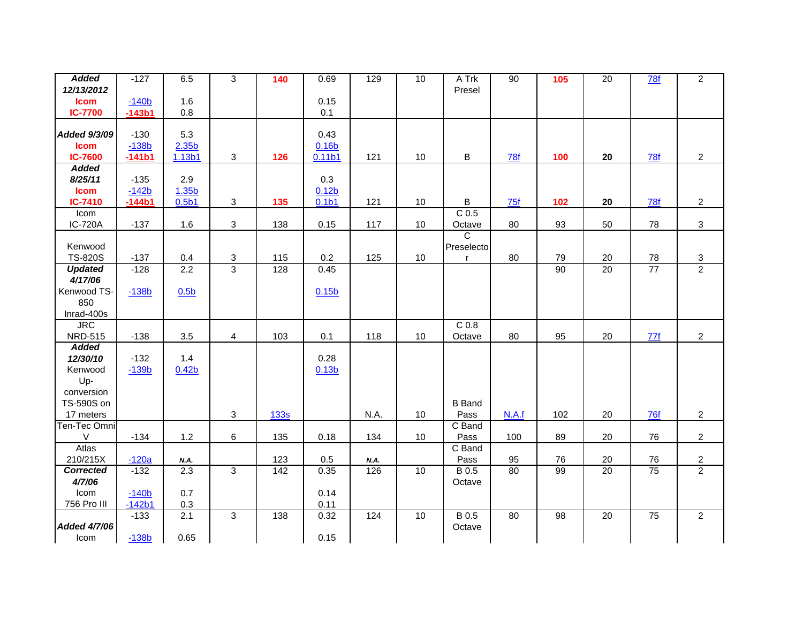| <b>Added</b>        | $-127$   | 6.5                | 3              | 140         | 0.69               | 129  | 10 | A Trk               | 90    | 105             | 20              | 78f             | $\overline{2}$ |
|---------------------|----------|--------------------|----------------|-------------|--------------------|------|----|---------------------|-------|-----------------|-----------------|-----------------|----------------|
| 12/13/2012          |          |                    |                |             |                    |      |    | Presel              |       |                 |                 |                 |                |
| <b>Icom</b>         | $-140b$  | 1.6                |                |             | 0.15               |      |    |                     |       |                 |                 |                 |                |
| <b>IC-7700</b>      | $-143b1$ | 0.8                |                |             | 0.1                |      |    |                     |       |                 |                 |                 |                |
| Added 9/3/09        | $-130$   | 5.3                |                |             | 0.43               |      |    |                     |       |                 |                 |                 |                |
| <b>Icom</b>         | $-138b$  | 2.35 <sub>b</sub>  |                |             | 0.16 <sub>b</sub>  |      |    |                     |       |                 |                 |                 |                |
| <b>IC-7600</b>      | $-141b1$ | 1.13 <sub>b1</sub> | 3              | 126         | 0.11 <sub>b1</sub> | 121  | 10 | В                   | 78f   | 100             | 20              | <b>78f</b>      | $\overline{2}$ |
| <b>Added</b>        |          |                    |                |             |                    |      |    |                     |       |                 |                 |                 |                |
| 8/25/11             | $-135$   | 2.9                |                |             | 0.3                |      |    |                     |       |                 |                 |                 |                |
| <b>Icom</b>         | $-142b$  | 1.35b              |                |             | 0.12 <sub>b</sub>  |      |    |                     |       |                 |                 |                 |                |
| IC-7410             | $-144b1$ | 0.5 <sub>b1</sub>  | 3              | 135         | 0.1 <sub>b1</sub>  | 121  | 10 | B                   | 75f   | 102             | 20              | <b>78f</b>      | $\overline{c}$ |
| Icom                |          |                    |                |             |                    |      |    | C <sub>0.5</sub>    |       |                 |                 |                 |                |
| <b>IC-720A</b>      | $-137$   | 1.6                | 3              | 138         | 0.15               | 117  | 10 | Octave              | 80    | 93              | 50              | 78              | 3              |
|                     |          |                    |                |             |                    |      |    | C                   |       |                 |                 |                 |                |
| Kenwood             |          |                    |                |             |                    |      |    | Preselecto          |       |                 |                 |                 |                |
| <b>TS-820S</b>      | $-137$   | 0.4                | 3              | 115         | 0.2                | 125  | 10 | r                   | 80    | 79              | 20              | 78              | 3              |
| <b>Updated</b>      | $-128$   | 2.2                | 3              | 128         | 0.45               |      |    |                     |       | $\overline{90}$ | $\overline{20}$ | $\overline{77}$ | $\overline{2}$ |
| 4/17/06             |          |                    |                |             |                    |      |    |                     |       |                 |                 |                 |                |
| Kenwood TS-         | $-138b$  | 0.5 <sub>b</sub>   |                |             | 0.15 <sub>b</sub>  |      |    |                     |       |                 |                 |                 |                |
| 850                 |          |                    |                |             |                    |      |    |                     |       |                 |                 |                 |                |
| Inrad-400s          |          |                    |                |             |                    |      |    |                     |       |                 |                 |                 |                |
| <b>JRC</b>          |          |                    |                |             |                    |      |    | C <sub>0.8</sub>    |       |                 |                 |                 |                |
| <b>NRD-515</b>      | $-138$   | 3.5                | 4              | 103         | 0.1                | 118  | 10 | Octave              | 80    | 95              | 20              | 77f             | $\overline{a}$ |
| <b>Added</b>        |          |                    |                |             |                    |      |    |                     |       |                 |                 |                 |                |
| 12/30/10            | $-132$   | 1.4                |                |             | 0.28               |      |    |                     |       |                 |                 |                 |                |
| Kenwood             | $-139b$  | 0.42 <sub>b</sub>  |                |             | 0.13 <sub>b</sub>  |      |    |                     |       |                 |                 |                 |                |
| Up-                 |          |                    |                |             |                    |      |    |                     |       |                 |                 |                 |                |
| conversion          |          |                    |                |             |                    |      |    |                     |       |                 |                 |                 |                |
| TS-590S on          |          |                    |                |             |                    |      |    | <b>B</b> Band       |       |                 |                 |                 |                |
| 17 meters           |          |                    | 3              | <b>133s</b> |                    | N.A. | 10 | Pass                | N.A.f | 102             | 20              | <b>76f</b>      | $\overline{a}$ |
| Ten-Tec Omni        |          |                    |                |             |                    |      |    | $\overline{C}$ Band |       |                 |                 |                 |                |
| $\vee$              | $-134$   | 1.2                | $\,6\,$        | 135         | 0.18               | 134  | 10 | Pass                | 100   | 89              | 20              | 76              | $\overline{a}$ |
| Atlas               |          |                    |                |             |                    |      |    | C Band              |       |                 |                 |                 |                |
| 210/215X            | $-120a$  | N.A.               |                | 123         | 0.5                | N.A. |    | Pass                | 95    | 76              | 20              | 76              | $\overline{2}$ |
| <b>Corrected</b>    | $-132$   | 2.3                | 3              | 142         | 0.35               | 126  | 10 | <b>B</b> 0.5        | 80    | 99              | 20              | 75              | $\overline{2}$ |
| 4/7/06              |          |                    |                |             |                    |      |    | Octave              |       |                 |                 |                 |                |
| Icom                | $-140b$  | 0.7                |                |             | 0.14               |      |    |                     |       |                 |                 |                 |                |
| 756 Pro III         | $-142b1$ | 0.3                |                |             | 0.11               |      |    |                     |       |                 |                 |                 |                |
|                     | $-133$   | 2.1                | $\overline{3}$ | 138         | 0.32               | 124  | 10 | <b>B</b> 0.5        | 80    | 98              | 20              | 75              | $\overline{2}$ |
| <b>Added 4/7/06</b> |          |                    |                |             |                    |      |    | Octave              |       |                 |                 |                 |                |
| Icom                | $-138b$  | 0.65               |                |             | 0.15               |      |    |                     |       |                 |                 |                 |                |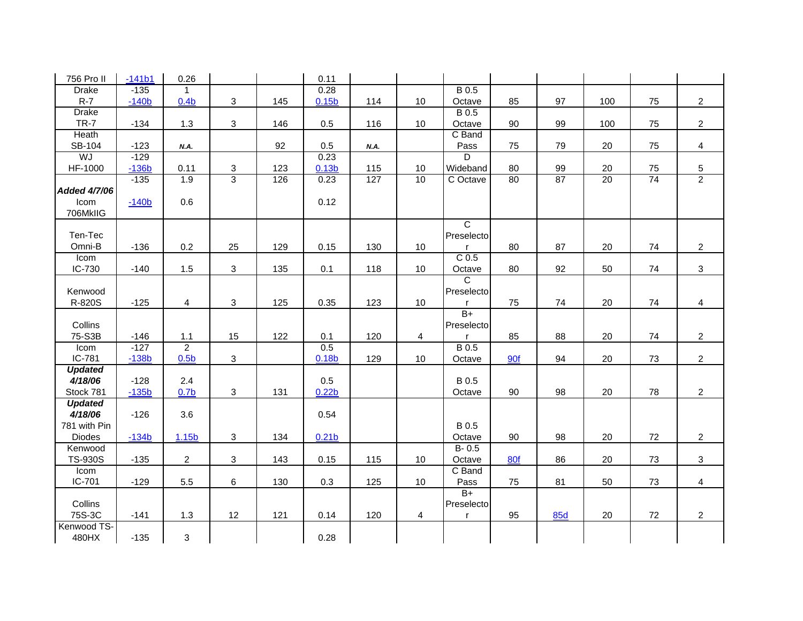| 756 Pro II          | $-141b1$ | 0.26              |                |     | 0.11              |      |                |                  |     |            |     |    |                         |
|---------------------|----------|-------------------|----------------|-----|-------------------|------|----------------|------------------|-----|------------|-----|----|-------------------------|
| <b>Drake</b>        | $-135$   | $\mathbf{1}$      |                |     | 0.28              |      |                | B 0.5            |     |            |     |    |                         |
| $R-7$               | $-140b$  | 0.4 <sub>b</sub>  | 3              | 145 | 0.15 <sub>b</sub> | 114  | 10             | Octave           | 85  | 97         | 100 | 75 | $\overline{2}$          |
| <b>Drake</b>        |          |                   |                |     |                   |      |                | <b>B</b> 0.5     |     |            |     |    |                         |
| <b>TR-7</b>         | $-134$   | 1.3               | $\mathbf{3}$   | 146 | 0.5               | 116  | 10             | Octave           | 90  | 99         | 100 | 75 | $\overline{a}$          |
| Heath               |          |                   |                |     |                   |      |                | C Band           |     |            |     |    |                         |
| SB-104              | $-123$   | N.A.              |                | 92  | 0.5               | N.A. |                | Pass             | 75  | 79         | 20  | 75 | 4                       |
| WJ                  | $-129$   |                   |                |     | 0.23              |      |                | D                |     |            |     |    |                         |
| HF-1000             | $-136b$  | 0.11              | 3              | 123 | 0.13 <sub>b</sub> | 115  | 10             | Wideband         | 80  | 99         | 20  | 75 | 5                       |
|                     | $-135$   | 1.9               | $\overline{3}$ | 126 | 0.23              | 127  | 10             | C Octave         | 80  | 87         | 20  | 74 | $\overline{2}$          |
| <b>Added 4/7/06</b> |          |                   |                |     |                   |      |                |                  |     |            |     |    |                         |
| Icom                | $-140b$  | 0.6               |                |     | 0.12              |      |                |                  |     |            |     |    |                         |
| 706MkIIG            |          |                   |                |     |                   |      |                |                  |     |            |     |    |                         |
|                     |          |                   |                |     |                   |      |                | $\overline{C}$   |     |            |     |    |                         |
| Ten-Tec             |          |                   |                |     |                   |      |                | Preselecto       |     |            |     |    |                         |
| Omni-B              | $-136$   | 0.2               | 25             | 129 | 0.15              | 130  | 10             | $\mathbf{r}$     | 80  | 87         | 20  | 74 | $\overline{2}$          |
| Icom                |          |                   |                |     |                   |      |                | C <sub>0.5</sub> |     |            |     |    |                         |
| IC-730              | $-140$   | 1.5               | $\mathbf{3}$   | 135 | 0.1               | 118  | 10             | Octave           | 80  | 92         | 50  | 74 | 3                       |
|                     |          |                   |                |     |                   |      |                | C                |     |            |     |    |                         |
| Kenwood             |          |                   |                |     |                   |      |                | Preselecto       |     |            |     |    |                         |
| R-820S              | $-125$   | $\overline{4}$    | $\mathbf{3}$   | 125 | 0.35              | 123  | 10             | $\mathsf{r}$     | 75  | 74         | 20  | 74 | $\overline{\mathbf{4}}$ |
|                     |          |                   |                |     |                   |      |                | $B+$             |     |            |     |    |                         |
| Collins             |          |                   |                |     |                   |      |                | Preselecto       |     |            |     |    |                         |
| 75-S3B              | $-146$   | 1.1               | 15             | 122 | 0.1               | 120  | 4              | $\mathsf{r}$     | 85  | 88         | 20  | 74 | $\overline{2}$          |
| Icom                | $-127$   | $\overline{2}$    |                |     | 0.5               |      |                | <b>B</b> 0.5     |     |            |     |    |                         |
| IC-781              | $-138b$  | 0.5 <sub>b</sub>  | 3              |     | 0.18 <sub>b</sub> | 129  | 10             | Octave           | 90f | 94         | 20  | 73 | $\overline{2}$          |
| <b>Updated</b>      |          |                   |                |     |                   |      |                |                  |     |            |     |    |                         |
| 4/18/06             | $-128$   | 2.4               |                |     | 0.5               |      |                | B 0.5            |     |            |     |    |                         |
| Stock 781           | $-135b$  | 0.7 <sub>b</sub>  | $\mathbf{3}$   | 131 | 0.22 <sub>b</sub> |      |                | Octave           | 90  | 98         | 20  | 78 | $\overline{2}$          |
| <b>Updated</b>      |          |                   |                |     |                   |      |                |                  |     |            |     |    |                         |
| 4/18/06             | $-126$   | 3.6               |                |     | 0.54              |      |                |                  |     |            |     |    |                         |
| 781 with Pin        |          |                   |                |     |                   |      |                | B 0.5            |     |            |     |    |                         |
| <b>Diodes</b>       | $-134b$  | 1.15 <sub>b</sub> | 3              | 134 | 0.21 <sub>b</sub> |      |                | Octave           | 90  | 98         | 20  | 72 | $\overline{2}$          |
| Kenwood             |          |                   |                |     |                   |      |                | $B - 0.5$        |     |            |     |    |                         |
| <b>TS-930S</b>      | $-135$   | $\overline{a}$    | 3              | 143 | 0.15              | 115  | 10             | Octave           | 80f | 86         | 20  | 73 | 3                       |
| Icom                |          |                   |                |     |                   |      |                | C Band           |     |            |     |    |                         |
| IC-701              | $-129$   | 5.5               | 6              | 130 | 0.3               | 125  | 10             | Pass             | 75  | 81         | 50  | 73 | $\overline{4}$          |
|                     |          |                   |                |     |                   |      |                | B+               |     |            |     |    |                         |
| Collins             |          |                   |                |     |                   |      |                | Preselecto       |     |            |     |    |                         |
| 75S-3C              | $-141$   | 1.3               | 12             | 121 | 0.14              | 120  | $\overline{4}$ | $\mathsf{r}$     | 95  | <b>85d</b> | 20  | 72 | $\overline{2}$          |
| Kenwood TS-         |          |                   |                |     |                   |      |                |                  |     |            |     |    |                         |
| 480HX               | $-135$   | 3                 |                |     | 0.28              |      |                |                  |     |            |     |    |                         |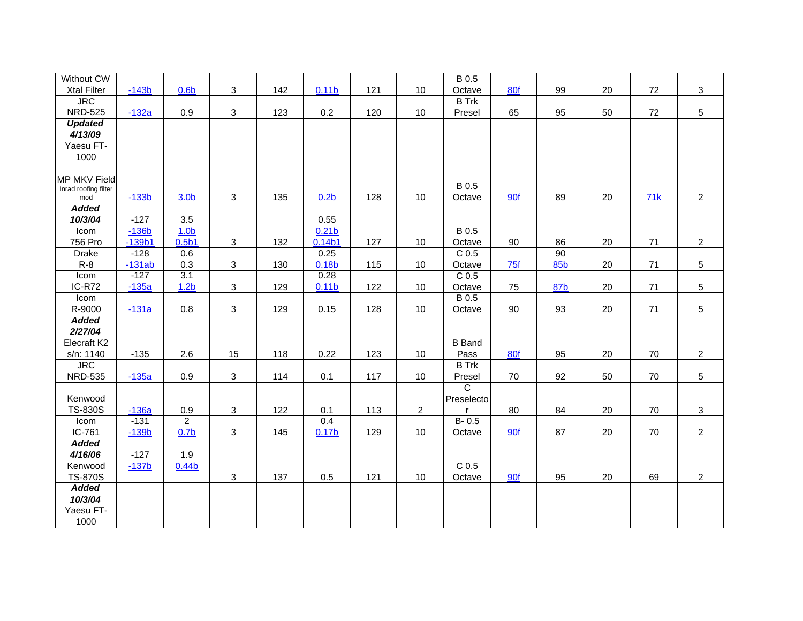| Without CW                   |          |                   |              |     |                    |     |                | <b>B0.5</b>              |     |     |    |     |                |
|------------------------------|----------|-------------------|--------------|-----|--------------------|-----|----------------|--------------------------|-----|-----|----|-----|----------------|
| Xtal Filter                  | $-143b$  | 0.6 <sub>b</sub>  | $\mathbf{3}$ | 142 | 0.11 <sub>b</sub>  | 121 | 10             | Octave                   | 80f | 99  | 20 | 72  | 3              |
| <b>JRC</b>                   |          |                   |              |     |                    |     |                | <b>B</b> Trk             |     |     |    |     |                |
| <b>NRD-525</b>               | $-132a$  | 0.9               | 3            | 123 | 0.2                | 120 | 10             | Presel                   | 65  | 95  | 50 | 72  | 5              |
| <b>Updated</b>               |          |                   |              |     |                    |     |                |                          |     |     |    |     |                |
| 4/13/09                      |          |                   |              |     |                    |     |                |                          |     |     |    |     |                |
| Yaesu FT-                    |          |                   |              |     |                    |     |                |                          |     |     |    |     |                |
| 1000                         |          |                   |              |     |                    |     |                |                          |     |     |    |     |                |
|                              |          |                   |              |     |                    |     |                |                          |     |     |    |     |                |
| <b>MP MKV Field</b>          |          |                   |              |     |                    |     |                | <b>B0.5</b>              |     |     |    |     |                |
| Inrad roofing filter<br>mod  | $-133b$  | 3.0 <sub>b</sub>  | 3            | 135 | 0.2 <sub>b</sub>   | 128 | 10             | Octave                   | 90f | 89  | 20 | 71k | $\overline{2}$ |
| <b>Added</b>                 |          |                   |              |     |                    |     |                |                          |     |     |    |     |                |
| 10/3/04                      | $-127$   | 3.5               |              |     | 0.55               |     |                |                          |     |     |    |     |                |
| Icom                         | $-136b$  | 1.0 <sub>b</sub>  |              |     | 0.21 <sub>b</sub>  |     |                | <b>B0.5</b>              |     |     |    |     |                |
| 756 Pro                      | $-139b1$ | 0.5 <sub>b1</sub> | 3            | 132 | 0.14 <sub>b1</sub> | 127 | 10             | Octave                   | 90  | 86  | 20 | 71  | $\overline{c}$ |
| Drake                        | $-128$   | 0.6               |              |     | 0.25               |     |                | C <sub>0.5</sub>         |     | 90  |    |     |                |
| $R-8$                        | $-131ab$ | 0.3               | 3            | 130 | 0.18b              | 115 | 10             | Octave                   | 75f | 85b | 20 | 71  | 5              |
| Icom                         | $-127$   | $\overline{3.1}$  |              |     | 0.28               |     |                | C <sub>0.5</sub>         |     |     |    |     |                |
| IC-R72                       | $-135a$  | 1.2 <sub>b</sub>  | 3            | 129 | 0.11 <sub>b</sub>  | 122 | 10             | Octave                   | 75  | 87b | 20 | 71  | 5              |
| Icom                         |          |                   |              |     |                    |     |                | B 0.5                    |     |     |    |     |                |
| R-9000                       | $-131a$  | 0.8               | 3            | 129 | 0.15               | 128 | 10             | Octave                   | 90  | 93  | 20 | 71  | 5              |
| <b>Added</b>                 |          |                   |              |     |                    |     |                |                          |     |     |    |     |                |
| 2/27/04                      |          |                   |              |     |                    |     |                |                          |     |     |    |     |                |
| Elecraft K2                  |          |                   |              |     |                    |     |                | <b>B</b> Band            |     |     |    |     |                |
| s/n: 1140                    | $-135$   | 2.6               | 15           | 118 | 0.22               | 123 | 10             | Pass                     | 80f | 95  | 20 | 70  | $\overline{2}$ |
| <b>JRC</b><br><b>NRD-535</b> |          |                   |              |     |                    |     |                | <b>B</b> Trk             |     |     |    |     |                |
|                              | $-135a$  | 0.9               | $\mathbf{3}$ | 114 | 0.1                | 117 | 10             | Presel<br>$\overline{C}$ | 70  | 92  | 50 | 70  | 5              |
| Kenwood                      |          |                   |              |     |                    |     |                | Preselecto               |     |     |    |     |                |
| <b>TS-830S</b>               | $-136a$  | 0.9               | 3            | 122 | 0.1                | 113 | $\overline{2}$ | r                        | 80  | 84  | 20 | 70  | 3              |
| Icom                         | $-131$   | $\overline{2}$    |              |     | 0.4                |     |                | $B - 0.5$                |     |     |    |     |                |
| IC-761                       | $-139b$  | 0.7 <sub>b</sub>  | 3            | 145 | 0.17 <sub>b</sub>  | 129 | 10             | Octave                   | 90f | 87  | 20 | 70  | $\overline{a}$ |
| <b>Added</b>                 |          |                   |              |     |                    |     |                |                          |     |     |    |     |                |
| 4/16/06                      | $-127$   | 1.9               |              |     |                    |     |                |                          |     |     |    |     |                |
| Kenwood                      | $-137b$  | 0.44 <sub>b</sub> |              |     |                    |     |                | C <sub>0.5</sub>         |     |     |    |     |                |
| <b>TS-870S</b>               |          |                   | 3            | 137 | 0.5                | 121 | 10             | Octave                   | 90f | 95  | 20 | 69  | $\overline{2}$ |
| Added                        |          |                   |              |     |                    |     |                |                          |     |     |    |     |                |
| 10/3/04                      |          |                   |              |     |                    |     |                |                          |     |     |    |     |                |
| Yaesu FT-                    |          |                   |              |     |                    |     |                |                          |     |     |    |     |                |
| 1000                         |          |                   |              |     |                    |     |                |                          |     |     |    |     |                |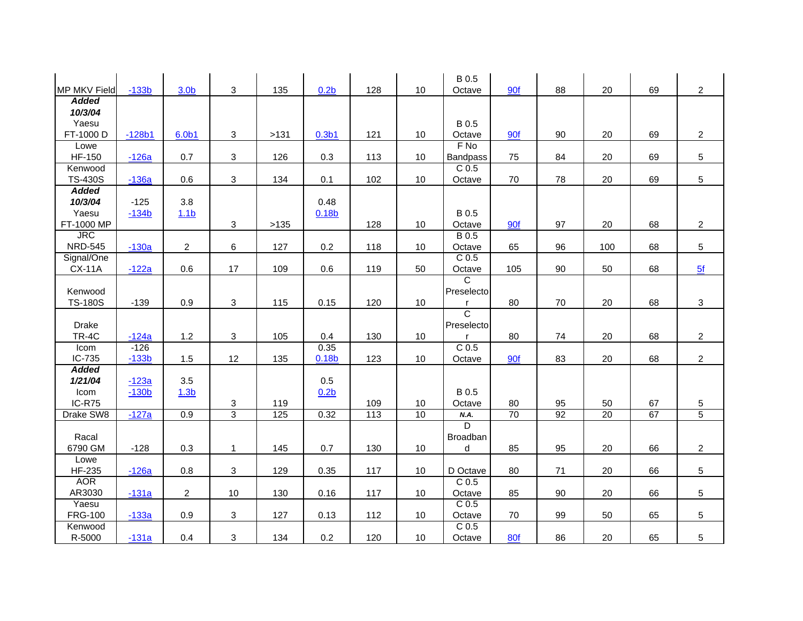| <b>MP MKV Field</b> | $-133b$  | 3.0 <sub>b</sub> | 3              | 135  | 0.2 <sub>b</sub>  | 128 | 10 | <b>B</b> 0.5<br>Octave | 90f | 88 | 20  | 69 | $\overline{a}$ |
|---------------------|----------|------------------|----------------|------|-------------------|-----|----|------------------------|-----|----|-----|----|----------------|
| <b>Added</b>        |          |                  |                |      |                   |     |    |                        |     |    |     |    |                |
| 10/3/04             |          |                  |                |      |                   |     |    |                        |     |    |     |    |                |
| Yaesu               |          |                  |                |      |                   |     |    | B 0.5                  |     |    |     |    |                |
| FT-1000 D           | $-128b1$ | 6.0b1            | 3              | >131 | 0.3 <sub>b1</sub> | 121 | 10 | Octave                 | 90f | 90 | 20  | 69 | $\overline{a}$ |
| Lowe                |          |                  |                |      |                   |     |    | $F$ No                 |     |    |     |    |                |
| HF-150              | $-126a$  | 0.7              | 3              | 126  | 0.3               | 113 | 10 | Bandpass               | 75  | 84 | 20  | 69 | 5              |
| Kenwood             |          |                  |                |      |                   |     |    | C <sub>0.5</sub>       |     |    |     |    |                |
| <b>TS-430S</b>      | $-136a$  | 0.6              | 3              | 134  | 0.1               | 102 | 10 | Octave                 | 70  | 78 | 20  | 69 | 5              |
| <b>Added</b>        |          |                  |                |      |                   |     |    |                        |     |    |     |    |                |
| 10/3/04             | $-125$   | 3.8              |                |      | 0.48              |     |    |                        |     |    |     |    |                |
| Yaesu               | $-134b$  | 1.1 <sub>b</sub> |                |      | 0.18 <sub>b</sub> |     |    | B 0.5                  |     |    |     |    |                |
| FT-1000 MP          |          |                  | 3              | >135 |                   | 128 | 10 | Octave                 | 90f | 97 | 20  | 68 | $\overline{2}$ |
| <b>JRC</b>          |          |                  |                |      |                   |     |    | <b>B</b> 0.5           |     |    |     |    |                |
| <b>NRD-545</b>      | $-130a$  | $\overline{a}$   | 6              | 127  | 0.2               | 118 | 10 | Octave                 | 65  | 96 | 100 | 68 | 5              |
| Signal/One          |          |                  |                |      |                   |     |    | C <sub>0.5</sub>       |     |    |     |    |                |
| <b>CX-11A</b>       | $-122a$  | 0.6              | 17             | 109  | 0.6               | 119 | 50 | Octave                 | 105 | 90 | 50  | 68 | 5f             |
|                     |          |                  |                |      |                   |     |    | $\overline{C}$         |     |    |     |    |                |
| Kenwood             |          |                  |                |      |                   |     |    | Preselecto             |     |    |     |    |                |
| <b>TS-180S</b>      | $-139$   | 0.9              | 3              | 115  | 0.15              | 120 | 10 | r                      | 80  | 70 | 20  | 68 | 3              |
|                     |          |                  |                |      |                   |     |    | $\overline{\text{c}}$  |     |    |     |    |                |
| Drake               |          |                  |                |      |                   |     |    | Preselecto             |     |    |     |    |                |
| <b>TR-4C</b>        | $-124a$  | 1.2              | 3              | 105  | 0.4               | 130 | 10 | r                      | 80  | 74 | 20  | 68 | $\overline{a}$ |
| Icom                | $-126$   |                  |                |      | 0.35              |     |    | C <sub>0.5</sub>       |     |    |     |    |                |
| IC-735              | $-133b$  | 1.5              | 12             | 135  | 0.18 <sub>b</sub> | 123 | 10 | Octave                 | 90f | 83 | 20  | 68 | $\overline{a}$ |
| <b>Added</b>        |          |                  |                |      |                   |     |    |                        |     |    |     |    |                |
| 1/21/04             | $-123a$  | 3.5              |                |      | 0.5               |     |    |                        |     |    |     |    |                |
| Icom                | $-130b$  | 1.3 <sub>b</sub> |                |      | 0.2 <sub>b</sub>  |     |    | <b>B0.5</b>            |     |    |     |    |                |
| IC-R75              |          |                  | $\overline{3}$ | 119  |                   | 109 | 10 | Octave                 | 80  | 95 | 50  | 67 | $\overline{5}$ |
| Drake SW8           | $-127a$  | 0.9              | $\overline{3}$ | 125  | 0.32              | 113 | 10 | N.A.                   | 70  | 92 | 20  | 67 | 5              |
|                     |          |                  |                |      |                   |     |    | D                      |     |    |     |    |                |
| Racal               |          |                  |                |      |                   |     |    | Broadban               |     |    |     |    |                |
| 6790 GM             | $-128$   | 0.3              | $\mathbf{1}$   | 145  | 0.7               | 130 | 10 | d                      | 85  | 95 | 20  | 66 | $\overline{a}$ |
| Lowe                |          |                  |                |      |                   |     |    |                        |     |    |     |    |                |
| HF-235              | $-126a$  | 0.8              | 3              | 129  | 0.35              | 117 | 10 | D Octave               | 80  | 71 | 20  | 66 | 5              |
| <b>AOR</b>          |          |                  |                |      |                   |     |    | C <sub>0.5</sub>       |     |    |     |    |                |
| AR3030              | $-131a$  | $\overline{a}$   | 10             | 130  | 0.16              | 117 | 10 | Octave                 | 85  | 90 | 20  | 66 | 5              |
| Yaesu               |          |                  |                |      |                   |     |    | C <sub>0.5</sub>       |     |    |     |    |                |
| <b>FRG-100</b>      | $-133a$  | 0.9              | 3              | 127  | 0.13              | 112 | 10 | Octave                 | 70  | 99 | 50  | 65 | 5              |
| Kenwood             |          |                  |                |      |                   |     |    | C <sub>0.5</sub>       |     |    |     |    |                |
| R-5000              | $-131a$  | 0.4              | 3              | 134  | 0.2               | 120 | 10 | Octave                 | 80f | 86 | 20  | 65 | 5              |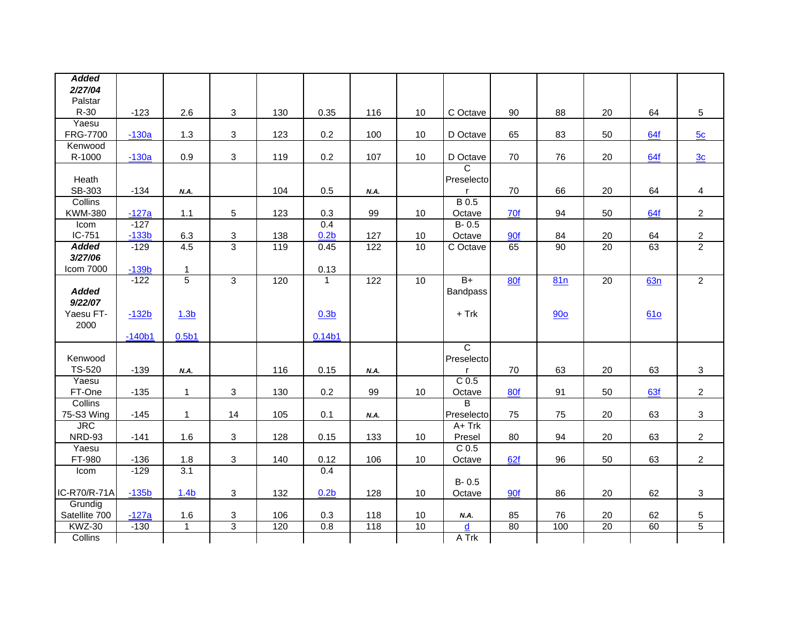| 2/27/04                                                                                                                                                                              |                                  |
|--------------------------------------------------------------------------------------------------------------------------------------------------------------------------------------|----------------------------------|
| Palstar                                                                                                                                                                              |                                  |
| R-30<br>$-123$<br>2.6<br>3<br>0.35<br>C Octave<br>130<br>116<br>10<br>90<br>88<br>20<br>64                                                                                           | 5                                |
| Yaesu                                                                                                                                                                                |                                  |
| 1.3<br>3<br>123<br>0.2<br>65<br>FRG-7700<br>$-130a$<br>100<br>10<br>D Octave<br>83<br>50<br>64f                                                                                      | 5 <sub>c</sub>                   |
| Kenwood                                                                                                                                                                              |                                  |
| 0.9<br>3<br>R-1000<br>$-130a$<br>119<br>0.2<br>107<br>D Octave<br>70<br>76<br>20<br>10<br>64f                                                                                        | 3 <sub>c</sub>                   |
| C.                                                                                                                                                                                   |                                  |
| Preselecto<br>Heath                                                                                                                                                                  |                                  |
| SB-303<br>$-134$<br>104<br>0.5<br>70<br>66<br>20<br>64<br>N.A.<br>$\mathsf{r}$<br>N.A.                                                                                               | 4                                |
| <b>B</b> 0.5<br>Collins                                                                                                                                                              |                                  |
| <b>KWM-380</b><br>$-127a$<br>$1.1$<br>5<br>123<br>0.3<br>99<br>10<br>Octave<br>70f<br>50<br>94<br>64f                                                                                | $\overline{2}$                   |
| $-127$<br>0.4<br>$B - 0.5$<br>Icom<br>$-133b$<br>0.2 <sub>b</sub>                                                                                                                    |                                  |
| 6.3<br>IC-751<br>3<br>138<br>127<br>10<br>Octave<br>90f<br>84<br>20<br>64<br>3<br><b>Added</b><br>4.5<br>119<br>10<br>C Octave<br>$\overline{20}$<br>63<br>$-129$<br>122<br>65<br>90 | $\overline{c}$<br>$\overline{2}$ |
| 0.45<br>3/27/06                                                                                                                                                                      |                                  |
| Icom 7000<br>$-139b$<br>0.13<br>1                                                                                                                                                    |                                  |
| $\overline{3}$<br>$B+$<br>20<br>5<br>120<br>122<br>10<br>80f<br>$-122$<br>81n<br>63n<br>1                                                                                            | $\overline{2}$                   |
| <b>Added</b><br><b>Bandpass</b>                                                                                                                                                      |                                  |
| 9/22/07                                                                                                                                                                              |                                  |
| Yaesu FT-<br>$-132b$<br>1.3 <sub>b</sub><br>0.3 <sub>b</sub><br>$+$ Trk<br>90 <sub>o</sub><br><b>610</b>                                                                             |                                  |
| 2000                                                                                                                                                                                 |                                  |
| $-140b1$<br>0.14 <sub>b1</sub><br>0.5 <sub>b1</sub>                                                                                                                                  |                                  |
| $\overline{\mathsf{c}}$                                                                                                                                                              |                                  |
| Preselecto<br>Kenwood                                                                                                                                                                |                                  |
| TS-520<br>70<br>63<br>20<br>63<br>$-139$<br>116<br>0.15<br>N.A.<br>N.A.<br>r                                                                                                         | 3                                |
| C <sub>0.5</sub><br>Yaesu                                                                                                                                                            |                                  |
| $\mathbf{1}$<br>3<br>0.2<br>FT-One<br>$-135$<br>130<br>99<br>10<br>80f<br>91<br>50<br>63f<br>Octave                                                                                  | $\overline{2}$                   |
| Collins<br>B                                                                                                                                                                         |                                  |
| 75-S3 Wing<br>105<br>0.1<br>Preselecto<br>75<br>20<br>63<br>$-145$<br>1<br>14<br>75<br>N.A.                                                                                          | 3                                |
| <b>JRC</b><br>A+ Trk                                                                                                                                                                 |                                  |
| 1.6<br>3<br>128<br>NRD-93<br>$-141$<br>0.15<br>133<br>10<br>80<br>94<br>20<br>63<br>Presel                                                                                           | $\overline{a}$                   |
| Yaesu<br>C <sub>0.5</sub>                                                                                                                                                            |                                  |
| FT-980<br>1.8<br>3<br>140<br>0.12<br>62f<br>63<br>$-136$<br>106<br>10<br>Octave<br>96<br>50                                                                                          | $\overline{a}$                   |
| 3.1<br>$-129$<br>Icom<br>0.4                                                                                                                                                         |                                  |
| $B - 0.5$<br>1.4 <sub>b</sub><br>3<br>IC-R70/R-71A<br>$-135b$<br>132<br>0.2 <sub>b</sub><br>128<br>10<br>90f<br>86<br>20<br>62                                                       |                                  |
| Octave<br>Grundig                                                                                                                                                                    | 3                                |
| Satellite 700<br>$-127a$<br>1.6<br>0.3<br>118<br>10<br>62<br>106<br>85<br>76<br>20<br>N.A.                                                                                           | 5                                |
| 3<br>$\overline{3}$<br>20<br>120<br>80<br>60<br><b>KWZ-30</b><br>$-130$<br>0.8<br>118<br>10<br>100<br>$\mathbf{1}$<br>d                                                              | $\overline{5}$                   |
| Collins<br>A Trk                                                                                                                                                                     |                                  |